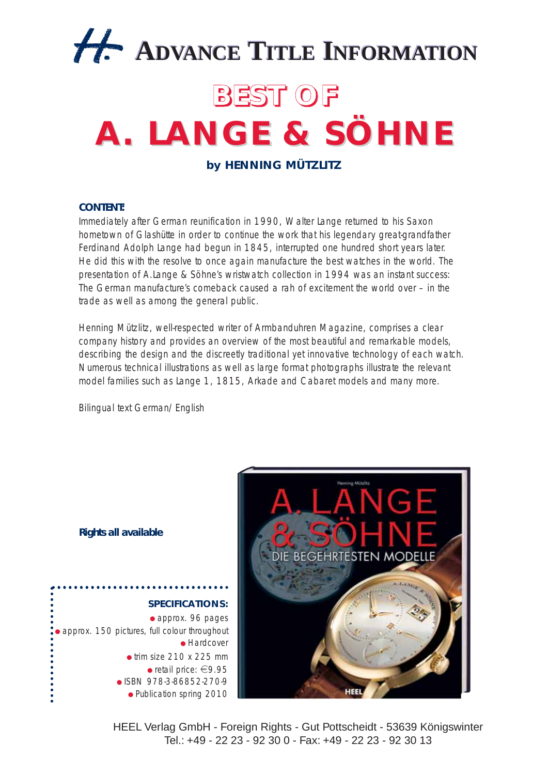

## **BEST OF**

## **A. LANGE & SÖHNE A. LANGE & SÖHNE**

**by HENNING MÜTZLITZ**

## **CONTENT:**

Immediately after German reunification in 1990, Walter Lange returned to his Saxon hometown of Glashütte in order to continue the work that his legendary great-grandfather Ferdinand Adolph Lange had begun in 1845, interrupted one hundred short years later. He did this with the resolve to once again manufacture the best watches in the world. The presentation of A.Lange & Söhne's wristwatch collection in 1994 was an instant success: The German manufacture's comeback caused a rah of excitement the world over – in the trade as well as among the general public.

Henning Mützlitz, well-respected writer of Armbanduhren Magazine, comprises a clear company history and provides an overview of the most beautiful and remarkable models, describing the design and the discreetly traditional yet innovative technology of each watch. Numerous technical illustrations as well as large format photographs illustrate the relevant model families such as Lange 1, 1815, Arkade and Cabaret models and many more.

Bilingual text German/English



**Rights all available**



HEEL Verlag GmbH - Foreign Rights - Gut Pottscheidt - 53639 Königswinter Tel.: +49 - 22 23 - 92 30 0 - Fax: +49 - 22 23 - 92 30 13